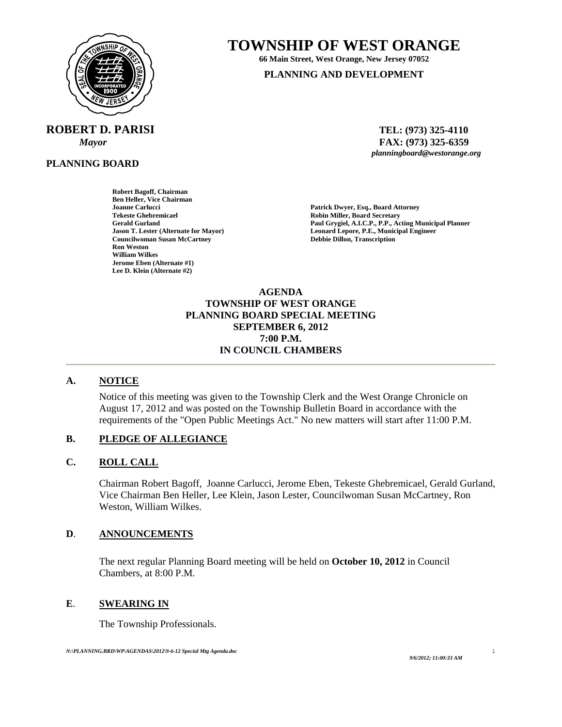

# **ROBERT D. PARISI TEL: (973) 325-4110**

**PLANNING BOARD** 

# **TOWNSHIP OF WEST ORANGE 66 Main Street, West Orange, New Jersey 07052**

**PLANNING AND DEVELOPMENT**

*Mayor* **and** *FAX***: (973) 325-6359** *planningboard@westorange.org planningboard@westorange.org* 

**Robert Bagoff, Chairman Ben Heller, Vice Chairman Joanne Carlucci Patrick Dwyer, Esq., Board Attorney Tekeste Ghebremicael and Secretary Cerald Gurland Community Cerald Gurland Community Cerald Gurland Community Cerald Gurland Paul Grygiel, A.I.C.P., P.P., According Community Cerald Gurland Community Cerald Gurland Commun Councilwoman Susan McCartney Debbie Dillon, Transcription William Wilkes Jerome Eben (Alternate #1) Lee D. Klein (Alternate #2)** 

Gerald Gurland **Gurland Paul Grygiel, A.I.C.P., P.P., Acting Municipal Planner**<br> **Paul Grygiel, A.I.C.P., P.P., Acting Municipal Planner**<br> **Paul Grygiel, A.I.C.P., P.P., Acting Municipal Planner** Leonard Lepore, P.E., Municipal Engineer

> **AGENDA TOWNSHIP OF WEST ORANGE PLANNING BOARD SPECIAL MEETING SEPTEMBER 6, 2012 7:00 P.M. IN COUNCIL CHAMBERS**

### **A. NOTICE**

Notice of this meeting was given to the Township Clerk and the West Orange Chronicle on August 17, 2012 and was posted on the Township Bulletin Board in accordance with the requirements of the "Open Public Meetings Act." No new matters will start after 11:00 P.M.

## **B. PLEDGE OF ALLEGIANCE**

### **C. ROLL CALL**

Chairman Robert Bagoff, Joanne Carlucci, Jerome Eben, Tekeste Ghebremicael, Gerald Gurland, Vice Chairman Ben Heller, Lee Klein, Jason Lester, Councilwoman Susan McCartney, Ron Weston, William Wilkes.

### **D**. **ANNOUNCEMENTS**

 The next regular Planning Board meeting will be held on **October 10, 2012** in Council Chambers, at 8:00 P.M.

### **E**. **SWEARING IN**

The Township Professionals.

1